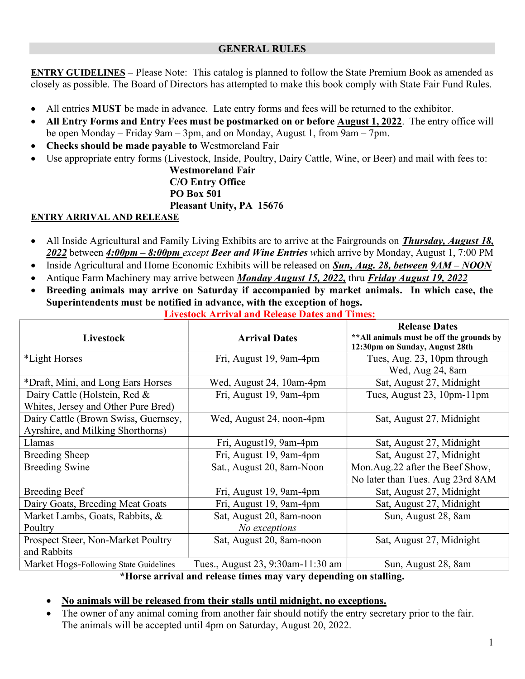#### GENERAL RULES

ENTRY GUIDELINES – Please Note: This catalog is planned to follow the State Premium Book as amended as closely as possible. The Board of Directors has attempted to make this book comply with State Fair Fund Rules.

- All entries MUST be made in advance. Late entry forms and fees will be returned to the exhibitor.
- All Entry Forms and Entry Fees must be postmarked on or before **August 1, 2022**. The entry office will be open Monday – Friday 9am – 3pm, and on Monday, August 1, from 9am – 7pm.
- Checks should be made payable to Westmoreland Fair
- Use appropriate entry forms (Livestock, Inside, Poultry, Dairy Cattle, Wine, or Beer) and mail with fees to:

 Westmoreland Fair C/O Entry Office PO Box 501 Pleasant Unity, PA 15676

### ENTRY ARRIVAL AND RELEASE

- All Inside Agricultural and Family Living Exhibits are to arrive at the Fairgrounds on *Thursday, August 18*, 2022 between 4:00pm – 8:00pm except Beer and Wine Entries which arrive by Monday, August 1, 7:00 PM
- Inside Agricultural and Home Economic Exhibits will be released on Sun, Aug. 28, between  $9AM NOON$
- Antique Farm Machinery may arrive between *Monday August 15, 2022*, thru *Friday August 19, 2022*
- Breeding animals may arrive on Saturday if accompanied by market animals. In which case, the Superintendents must be notified in advance, with the exception of hogs.

| Livestock                              | <b>Arrival Dates</b>              | <b>Release Dates</b><br>** All animals must be off the grounds by<br>12:30pm on Sunday, August 28th |
|----------------------------------------|-----------------------------------|-----------------------------------------------------------------------------------------------------|
| *Light Horses                          | Fri, August 19, 9am-4pm           | Tues, Aug. 23, 10pm through                                                                         |
|                                        |                                   | Wed, Aug 24, 8am                                                                                    |
| *Draft, Mini, and Long Ears Horses     | Wed, August 24, 10am-4pm          | Sat, August 27, Midnight                                                                            |
| Dairy Cattle (Holstein, Red &          | Fri, August 19, 9am-4pm           | Tues, August 23, 10pm-11pm                                                                          |
| Whites, Jersey and Other Pure Bred)    |                                   |                                                                                                     |
| Dairy Cattle (Brown Swiss, Guernsey,   | Wed, August 24, noon-4pm          | Sat, August 27, Midnight                                                                            |
| Ayrshire, and Milking Shorthorns)      |                                   |                                                                                                     |
| Llamas                                 | Fri, August19, 9am-4pm            | Sat, August 27, Midnight                                                                            |
| <b>Breeding Sheep</b>                  | Fri, August 19, 9am-4pm           | Sat, August 27, Midnight                                                                            |
| <b>Breeding Swine</b>                  | Sat., August 20, 8am-Noon         | Mon.Aug.22 after the Beef Show,                                                                     |
|                                        |                                   | No later than Tues. Aug 23rd 8AM                                                                    |
| <b>Breeding Beef</b>                   | Fri, August 19, 9am-4pm           | Sat, August 27, Midnight                                                                            |
| Dairy Goats, Breeding Meat Goats       | Fri, August 19, 9am-4pm           | Sat, August 27, Midnight                                                                            |
| Market Lambs, Goats, Rabbits, &        | Sat, August 20, 8am-noon          | Sun, August 28, 8am                                                                                 |
| Poultry                                | No exceptions                     |                                                                                                     |
| Prospect Steer, Non-Market Poultry     | Sat, August 20, 8am-noon          | Sat, August 27, Midnight                                                                            |
| and Rabbits                            |                                   |                                                                                                     |
| Market Hogs-Following State Guidelines | Tues., August 23, 9:30am-11:30 am | Sun, August 28, 8am                                                                                 |

Livestock Arrival and Release Dates and Times:

\*Horse arrival and release times may vary depending on stalling.

### No animals will be released from their stalls until midnight, no exceptions.

 The owner of any animal coming from another fair should notify the entry secretary prior to the fair. The animals will be accepted until 4pm on Saturday, August 20, 2022.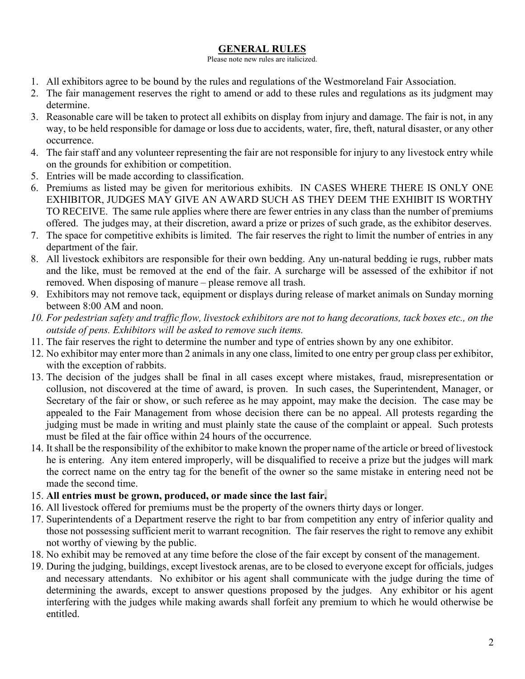### GENERAL RULES

Please note new rules are italicized.

- 1. All exhibitors agree to be bound by the rules and regulations of the Westmoreland Fair Association.
- 2. The fair management reserves the right to amend or add to these rules and regulations as its judgment may determine.
- 3. Reasonable care will be taken to protect all exhibits on display from injury and damage. The fair is not, in any way, to be held responsible for damage or loss due to accidents, water, fire, theft, natural disaster, or any other occurrence.
- 4. The fair staff and any volunteer representing the fair are not responsible for injury to any livestock entry while on the grounds for exhibition or competition.
- 5. Entries will be made according to classification.
- 6. Premiums as listed may be given for meritorious exhibits. IN CASES WHERE THERE IS ONLY ONE EXHIBITOR, JUDGES MAY GIVE AN AWARD SUCH AS THEY DEEM THE EXHIBIT IS WORTHY TO RECEIVE. The same rule applies where there are fewer entries in any class than the number of premiums offered. The judges may, at their discretion, award a prize or prizes of such grade, as the exhibitor deserves.
- 7. The space for competitive exhibits is limited. The fair reserves the right to limit the number of entries in any department of the fair.
- 8. All livestock exhibitors are responsible for their own bedding. Any un-natural bedding ie rugs, rubber mats and the like, must be removed at the end of the fair. A surcharge will be assessed of the exhibitor if not removed. When disposing of manure – please remove all trash.
- 9. Exhibitors may not remove tack, equipment or displays during release of market animals on Sunday morning between 8:00 AM and noon.
- 10. For pedestrian safety and traffic flow, livestock exhibitors are not to hang decorations, tack boxes etc., on the outside of pens. Exhibitors will be asked to remove such items.
- 11. The fair reserves the right to determine the number and type of entries shown by any one exhibitor.
- 12. No exhibitor may enter more than 2 animals in any one class, limited to one entry per group class per exhibitor, with the exception of rabbits.
- 13. The decision of the judges shall be final in all cases except where mistakes, fraud, misrepresentation or collusion, not discovered at the time of award, is proven. In such cases, the Superintendent, Manager, or Secretary of the fair or show, or such referee as he may appoint, may make the decision. The case may be appealed to the Fair Management from whose decision there can be no appeal. All protests regarding the judging must be made in writing and must plainly state the cause of the complaint or appeal. Such protests must be filed at the fair office within 24 hours of the occurrence.
- 14. It shall be the responsibility of the exhibitor to make known the proper name of the article or breed of livestock he is entering. Any item entered improperly, will be disqualified to receive a prize but the judges will mark the correct name on the entry tag for the benefit of the owner so the same mistake in entering need not be made the second time.
- 15. All entries must be grown, produced, or made since the last fair.
- 16. All livestock offered for premiums must be the property of the owners thirty days or longer.
- 17. Superintendents of a Department reserve the right to bar from competition any entry of inferior quality and those not possessing sufficient merit to warrant recognition. The fair reserves the right to remove any exhibit not worthy of viewing by the public.
- 18. No exhibit may be removed at any time before the close of the fair except by consent of the management.
- 19. During the judging, buildings, except livestock arenas, are to be closed to everyone except for officials, judges and necessary attendants. No exhibitor or his agent shall communicate with the judge during the time of determining the awards, except to answer questions proposed by the judges. Any exhibitor or his agent interfering with the judges while making awards shall forfeit any premium to which he would otherwise be entitled.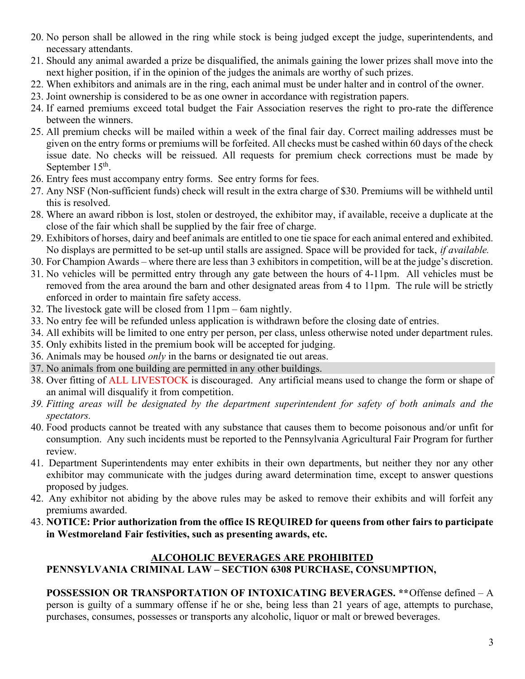- 20. No person shall be allowed in the ring while stock is being judged except the judge, superintendents, and necessary attendants.
- 21. Should any animal awarded a prize be disqualified, the animals gaining the lower prizes shall move into the next higher position, if in the opinion of the judges the animals are worthy of such prizes.
- 22. When exhibitors and animals are in the ring, each animal must be under halter and in control of the owner.
- 23. Joint ownership is considered to be as one owner in accordance with registration papers.
- 24. If earned premiums exceed total budget the Fair Association reserves the right to pro-rate the difference between the winners.
- 25. All premium checks will be mailed within a week of the final fair day. Correct mailing addresses must be given on the entry forms or premiums will be forfeited. All checks must be cashed within 60 days of the check issue date. No checks will be reissued. All requests for premium check corrections must be made by September  $15<sup>th</sup>$ .
- 26. Entry fees must accompany entry forms. See entry forms for fees.
- 27. Any NSF (Non-sufficient funds) check will result in the extra charge of \$30. Premiums will be withheld until this is resolved.
- 28. Where an award ribbon is lost, stolen or destroyed, the exhibitor may, if available, receive a duplicate at the close of the fair which shall be supplied by the fair free of charge.
- 29. Exhibitors of horses, dairy and beef animals are entitled to one tie space for each animal entered and exhibited. No displays are permitted to be set-up until stalls are assigned. Space will be provided for tack, if available.
- 30. For Champion Awards where there are less than 3 exhibitors in competition, will be at the judge's discretion.
- 31. No vehicles will be permitted entry through any gate between the hours of 4-11pm. All vehicles must be removed from the area around the barn and other designated areas from 4 to 11pm. The rule will be strictly enforced in order to maintain fire safety access.
- 32. The livestock gate will be closed from 11pm 6am nightly.
- 33. No entry fee will be refunded unless application is withdrawn before the closing date of entries.
- 34. All exhibits will be limited to one entry per person, per class, unless otherwise noted under department rules.
- 35. Only exhibits listed in the premium book will be accepted for judging.
- 36. Animals may be housed *only* in the barns or designated tie out areas.
- 37. No animals from one building are permitted in any other buildings.
- 38. Over fitting of ALL LIVESTOCK is discouraged. Any artificial means used to change the form or shape of an animal will disqualify it from competition.
- 39. Fitting areas will be designated by the department superintendent for safety of both animals and the spectators.
- 40. Food products cannot be treated with any substance that causes them to become poisonous and/or unfit for consumption. Any such incidents must be reported to the Pennsylvania Agricultural Fair Program for further review.
- 41. Department Superintendents may enter exhibits in their own departments, but neither they nor any other exhibitor may communicate with the judges during award determination time, except to answer questions proposed by judges.
- 42. Any exhibitor not abiding by the above rules may be asked to remove their exhibits and will forfeit any premiums awarded.
- 43. NOTICE: Prior authorization from the office IS REQUIRED for queens from other fairs to participate in Westmoreland Fair festivities, such as presenting awards, etc.

# ALCOHOLIC BEVERAGES ARE PROHIBITED

# PENNSYLVANIA CRIMINAL LAW – SECTION 6308 PURCHASE, CONSUMPTION,

POSSESSION OR TRANSPORTATION OF INTOXICATING BEVERAGES. \*\*Offense defined – A person is guilty of a summary offense if he or she, being less than 21 years of age, attempts to purchase, purchases, consumes, possesses or transports any alcoholic, liquor or malt or brewed beverages.